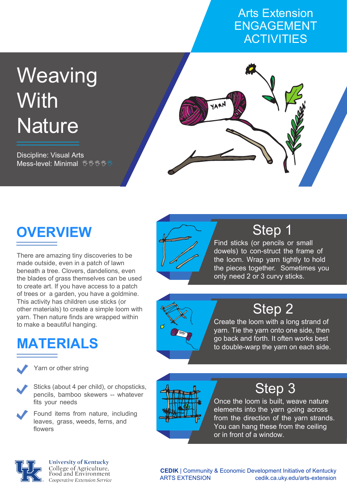#### Arts Extension ENGAGEMENT **ACTIVITIES**

# **Weaving With Nature**

Discipline: Visual Arts Mess-level: Minimal <sup>%</sup> <sup>%</sup> <sup>%</sup> <sup>%</sup>





There are amazing tiny discoveries to be made outside, even in a patch of lawn beneath a tree. Clovers, dandelions, even the blades of grass themselves can be used to create art. If you have access to a patch of trees or a garden, you have a goldmine. This activity has children use sticks (or other materials) to create a simple loom with yarn. Then nature finds are wrapped within to make a beautiful hanging.

## **MATERIALS**



Yarn or other string

- Sticks (about 4 per child), or chopsticks, pencils, bamboo skewers -- whatever fits your needs
- Found items from nature, including leaves, grass, weeds, ferns, and flowers



## Step 1

Find sticks (or pencils or small dowels) to con-struct the frame of the loom. Wrap yarn tightly to hold the pieces together. Sometimes you only need 2 or 3 curvy sticks.



### Step 2

Create the loom with a long strand of yarn. Tie the yarn onto one side, then go back and forth. It often works best to double-warp the yarn on each side.



### Step 3

Once the loom is built, weave nature elements into the yarn going across from the direction of the yarn strands. You can hang these from the ceiling or in front of a window.



**University of Kentucky** College of Agriculture,<br>Food and Environment Cooperative Extension Service

**CEDIK** | Community & Economic Development Initiative of Kentucky ARTS EXTENSION cedik.ca.uky.edu/arts-extension